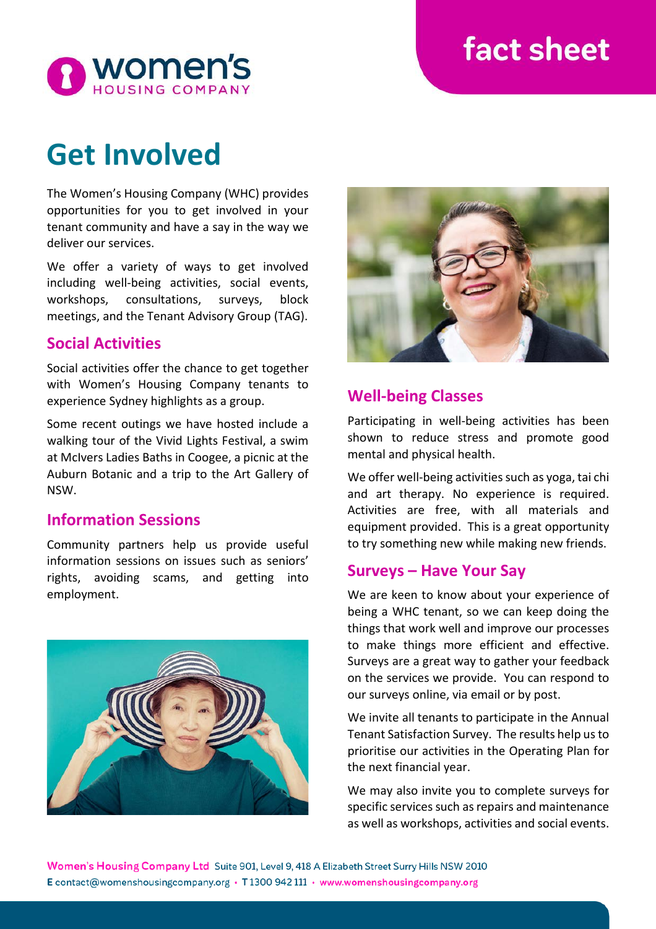# fact sheet



# **Get Involved**

The Women's Housing Company (WHC) provides opportunities for you to get involved in your tenant community and have a say in the way we deliver our services.

We offer a variety of ways to get involved including well-being activities, social events, workshops, consultations, surveys, block meetings, and the Tenant Advisory Group (TAG).

## **Social Activities**

Social activities offer the chance to get together with Women's Housing Company tenants to experience Sydney highlights as a group.

Some recent outings we have hosted include a walking tour of the Vivid Lights Festival, a swim at McIvers Ladies Baths in Coogee, a picnic at the Auburn Botanic and a trip to the Art Gallery of NSW.

### **Information Sessions**

Community partners help us provide useful information sessions on issues such as seniors' rights, avoiding scams, and getting into employment.





## **Well-being Classes**

Participating in well-being activities has been shown to reduce stress and promote good mental and physical health.

We offer well-being activities such as yoga, tai chi and art therapy. No experience is required. Activities are free, with all materials and equipment provided. This is a great opportunity to try something new while making new friends.

### **Surveys – Have Your Say**

We are keen to know about your experience of being a WHC tenant, so we can keep doing the things that work well and improve our processes to make things more efficient and effective. Surveys are a great way to gather your feedback on the services we provide. You can respond to our surveys online, via email or by post.

We invite all tenants to participate in the Annual Tenant Satisfaction Survey. The results help us to prioritise our activities in the Operating Plan for the next financial year.

We may also invite you to complete surveys for specific services such as repairs and maintenance as well as workshops, activities and social events.